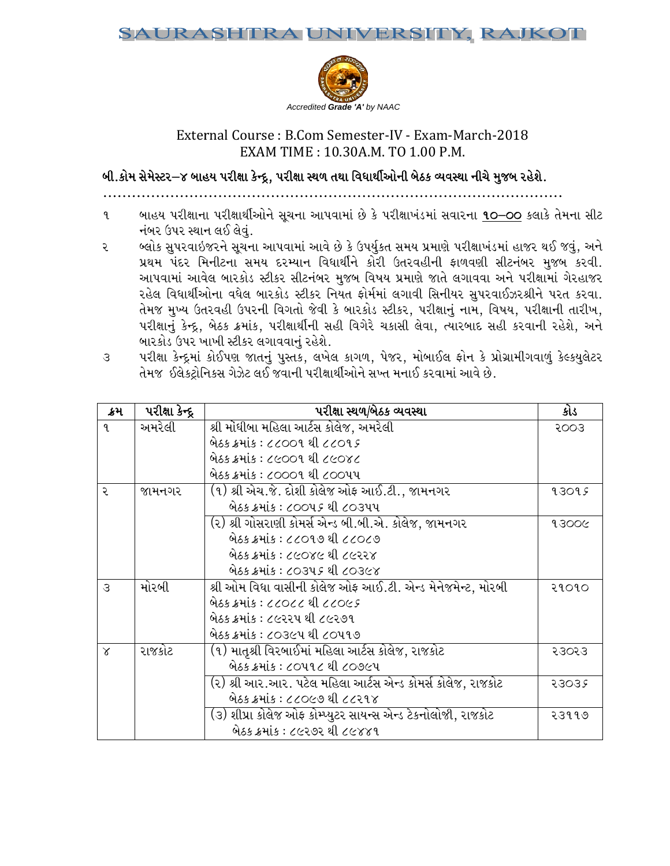

# External Course: B.Com Semester-IV - Exam-March-2018 EXAM TIME: 10.30A.M. TO 1.00 P.M.

બી.કોમ સેમેસ્ટર–૪ બાહય પરીક્ષા કેન્દ્ર, પરીક્ષા સ્થળ તથા વિધાર્થીઓની બેઠક વ્યવસ્થા નીચે મુજબ રહેશે.

- બાહય પરીક્ષાના પરીક્ષાર્થીઓને સૂચના આપવામાં છે કે પરીક્ષાખંડમાં સવારના 10–00 કલાકે તેમના સીટ  $\mathbf{q}$ નંબર ઉપર સ્થાન લઈ લેવું.
- બ્લોક સૂપરવાઇજરને સૂચના આપવામાં આવે છે કે ઉપર્યુકત સમય પ્રમાણે પરીક્ષાખંડમાં હાજર થઈ જવું, અને ૨ પ્રથમ પંદર મિનીટના સમય દરમ્યાન વિધાર્થીને કોરી ઉતરવહીની ફાળવણી સીટનંબર મુજબ કરવી. આપવામાં આવેલ બારકોડ સ્ટીકર સીટનંબર મુજબ વિષય પ્રમાણે જાતે લગાવવા અને પરીક્ષામાં ગેરહાજર રહેલ વિધાર્થીઓના વધેલ બારકોડ સ્ટીકર નિયત ફોર્મમાં લગાવી સિનીયર સુપરવાઈઝરશ્રીને પરત કરવા. તેમજ મુખ્ય ઉતરવહી ઉપરની વિગતો જેવી કે બારકોડ સ્ટીકર, પરીક્ષાનું નામ, વિષય, પરીક્ષાની તારીખ, પરીક્ષાનું કેન્દ્ર, બેઠક ક્રમાંક, પરીક્ષાર્થીની સહી વિગેરે ચકાસી લેવા, ત્યારબાદ સહી કરવાની રહેશે, અને બારકોડ ઉપર ખાખી સ્ટીકર લગાવવાનું રહેશે.

|                                                                            |  |  |  | પરીક્ષા કેન્દ્રમાં કોઈપણ જાતનું પુસ્તક, લખેલ કાગળ, પેજર, મોબાઈલ ફોન કે પ્રોગ્રામીગવાળું કેલ્કયુલેટર |  |
|----------------------------------------------------------------------------|--|--|--|-----------------------------------------------------------------------------------------------------|--|
| તેમજ  ઈલેકટ્રોનિકસ ગેઝેટ લઈ જવાની પરીક્ષાર્થીઓને સખ્ત મનાઈ કરવામાં આવે છે. |  |  |  |                                                                                                     |  |

| ક્રમ          | $\overline{$ પરીક્ષા કેન્દ્ર | પરીક્ષા સ્થળ/બેઠક વ્યવસ્થા                                   | કોડ   |
|---------------|------------------------------|--------------------------------------------------------------|-------|
| $\mathbf{q}$  | અમરેલી                       | શ્રી મોંઘીબા મહિલા આર્ટસ કોલેજ, અમરેલી                       | 5003  |
|               |                              | બેઠક ક્રમાંક : ૮૮૦૦૧ થી ૮૮૦૧૬                                |       |
|               |                              | બેઠક ક્રમાંક : ૮૯૦૦૧ થી ૮૯૦૪૮                                |       |
|               |                              | બેઠક ક્રમાંક : ૮૦૦૦૧ થી ૮૦૦૫૫                                |       |
| २             | જામનગર                       | (૧) શ્રી એચ.જે. દોશી કોલેજ ઓફ આઈ.ટી., જામનગર                 | 93095 |
|               |                              | બેઠક ક્રમાંક : ૮૦૦૫૬ થી ૮૦૩૫૫                                |       |
|               |                              | (૨) શ્રી ગોસરાણી કોમર્સ એન્ડ બી.બી.એ. કોલેજ, જામનગર          | 93006 |
|               |                              | બેઠક ક્રમાંક : ૮૮૦૧૭ થી ૮૮૦૮૭                                |       |
|               |                              | બેઠક ક્રમાંક : ૮૯૦૪૯ થી ૮૯૨૨૪                                |       |
|               |                              | બેઠક ક્રમાંક : ૮૦૩૫૬ થી ૮૦૩૯૪                                |       |
| $\mathcal{S}$ | મોરબી                        | શ્રી ઓમ વિધા વાસીની કોલેજ ઓફ આઈ.ટી. એન્ડ મેનેજમેન્ટ, મોરબી   | २१०१० |
|               |                              | બેઠક ક્રમાંક : ૮૮૦૮૮ થી ૮૮૦૯૬                                |       |
|               |                              | બેઠક ક્રમાંક : ૮૯૨૨૫ થી ૮૯૨૭૧                                |       |
|               |                              | બેઠક ક્રમાંક : ૮૦૩૯૫ થી ૮૦૫૧૭                                |       |
| $\times$      | રાજકોટ                       | (૧) માતૃશ્રી વિરબાઈમાં મહિલા આર્ટસ કોલેજ, રાજકોટ             | २३०२३ |
|               |                              | બેઠક ક્રમાંક : ૮૦૫૧૮ થી ૮૦૭૯૫                                |       |
|               |                              | (૨) શ્રી આર.આર. પટેલ મહિલા આર્ટસ એન્ડ કોમર્સ કોલેજ, રાજકોટ   | २३०३५ |
|               |                              | બેઠક ક્રમાંક : ૮૮૦૯૭ થી ૮૮૨૧૪                                |       |
|               |                              | (૩) શીપ્રા કોલેજ ઓફ કોમ્પ્યુટર સાયન્સ એન્ડ ટેકનોલોજી, રાજકોટ | २३११७ |
|               |                              | બેઠક ક્રમાંક : ૮૯૨૭૨ થી ૮૯૪૪૧                                |       |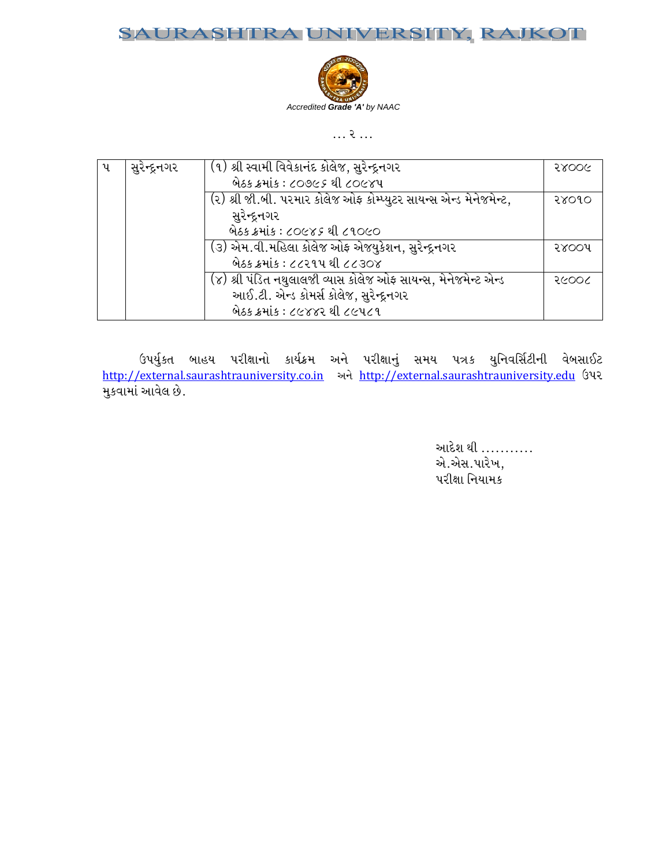### RA UNIVERSITY, RAJKOT JRAS.



 $\ldots$  ?  $\ldots$ 

| પ | સુરેન્દ્રનગર | (૧) શ્રી સ્વામી વિવેકાનંદ કોલેજ, સુરેન્દ્રનગર                     | 58006 |
|---|--------------|-------------------------------------------------------------------|-------|
|   |              | લેઠક ક્રમાંક : ૮૦૭૯૬ થી ૮૦૯૪૫                                     |       |
|   |              | (૨) શ્રી જી.બી. પરમાર કોલેજ ઓફ કોમ્પ્યુટર સાયન્સ એન્ડ મેનેજમેન્ટ, | २४०१० |
|   |              | સુરેન્દ્રનગર                                                      |       |
|   |              | બેઠક ક્રમાંક : ૮૦૯૪૬ થી ૮૧૦૯૦                                     |       |
|   |              | (૩) એમ.વી.મહિલા કોલેજ ઓફ એજયુકેશન, સુરેન્દ્રનગર                   | २४००५ |
|   |              | બેઠક ક્રમાંક : ૮૮૨૧૫ થી ૮૮૩૦૪                                     |       |
|   |              | (૪) શ્રી પંડિત નથુલાલજી વ્યાસ કોલેજ ઓફ સાયન્સ, મેનેજમેન્ટ એન્ડ    | २૯००८ |
|   |              | આઈ.ટી. એન્ડ કોમર્સ કોલેજ, સુરેન્દ્રનગર                            |       |
|   |              | બેઠક ક્રમાંક : ૮૯૪૪૨ થી ૮૯૫૮૧                                     |       |

ઉપર્યુકત બાહય પરીક્ષાનો કાર્યક્રમ અને પરીક્ષાનું સમય પત્રક યુનિવર્સિટીની વેબસાઈટ<br>http://external.saurashtrauniversity.co.in અને http://external.saurashtrauniversity.edu ઉપર मुख्यामां આવેલ છે.

> આદેશ થી ........... એ.એસ.પારેખ, પરીક્ષા નિયામક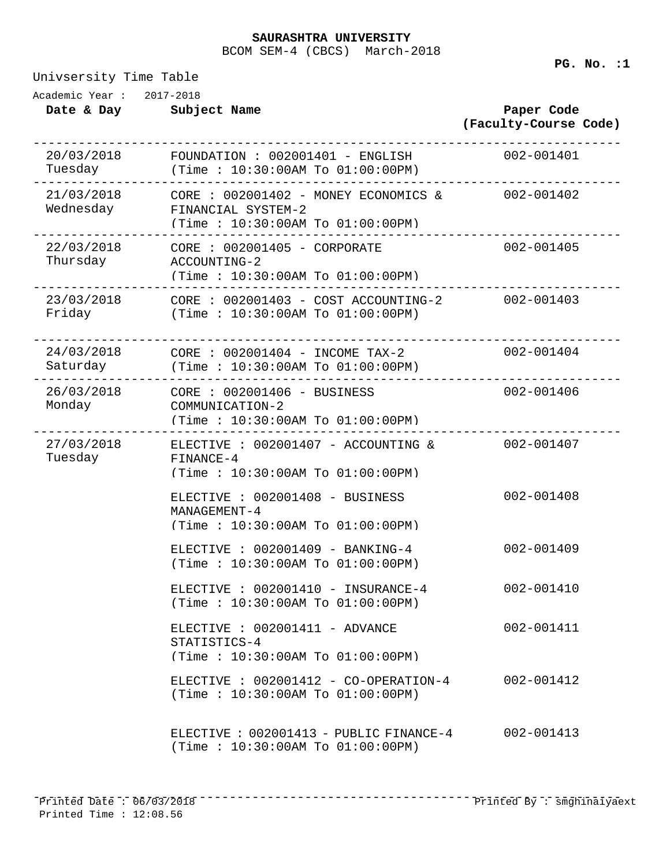### **SAURASHTRA UNIVERSITY**

BCOM SEM-4 (CBCS) March-2018

Univsersity Time Table

**Date & Day Subject Name Paper Code (Faculty-Course Code)** Academic Year : 2017-2018 20/03/2018 ------------------------------------------------------------------------------ Tuesday  $F$ OUNDATION : 002001401 - ENGLISH (Time : 10:30:00AM To 01:00:00PM) 21/03/2018 ------------------------------------------------------------------------------ Wednesday  $CORE : 002001402 - MONEY ECONOMICS &$ FINANCIAL SYSTEM-2 (Time : 10:30:00AM To 01:00:00PM) 22/03/2018 ------------------------------------------------------------------------------ CORE : 002001405 - CORPORATE 002-001405 Thursday ACCOUNTING-2 (Time : 10:30:00AM To 01:00:00PM) 23/03/2018 ------------------------------------------------------------------------------ CORE : 002001403 - COST ACCOUNTING-2 002-001403 Friday (Time : 10:30:00AM To 01:00:00PM) 24/03/2018 ------------------------------------------------------------------------------ Saturday  $CORE$  :  $002001404$  - INCOME TAX-2 (Time : 10:30:00AM To 01:00:00PM) 26/03/2018 ------------------------------------------------------------------------------ Monday CORE : 002001406 - BUSINESS 002-001406 COMMUNICATION-2 (Time : 10:30:00AM To 01:00:00PM) 27/03/2018 ------------------------------------------------------------------------------ ELECTIVE : 002001407 - ACCOUNTING & 002-001407 Tuesday FINANCE-4 (Time : 10:30:00AM To 01:00:00PM) ELECTIVE : 002001408 - BUSINESS 002-001408 MANAGEMENT-4 (Time : 10:30:00AM To 01:00:00PM) ELECTIVE : 002001409 - BANKING-4 002-001409 (Time : 10:30:00AM To 01:00:00PM) ELECTIVE : 002001410 - INSURANCE-4 002-001410 (Time : 10:30:00AM To 01:00:00PM) ELECTIVE : 002001411 - ADVANCE 002-001411 STATISTICS-4 (Time : 10:30:00AM To 01:00:00PM) ELECTIVE : 002001412 - CO-OPERATION-4 002-001412 (Time : 10:30:00AM To 01:00:00PM) ELECTIVE : 002001413 - PUBLIC FINANCE-4 002-001413 (Time : 10:30:00AM To 01:00:00PM)

**PG. No. :1**